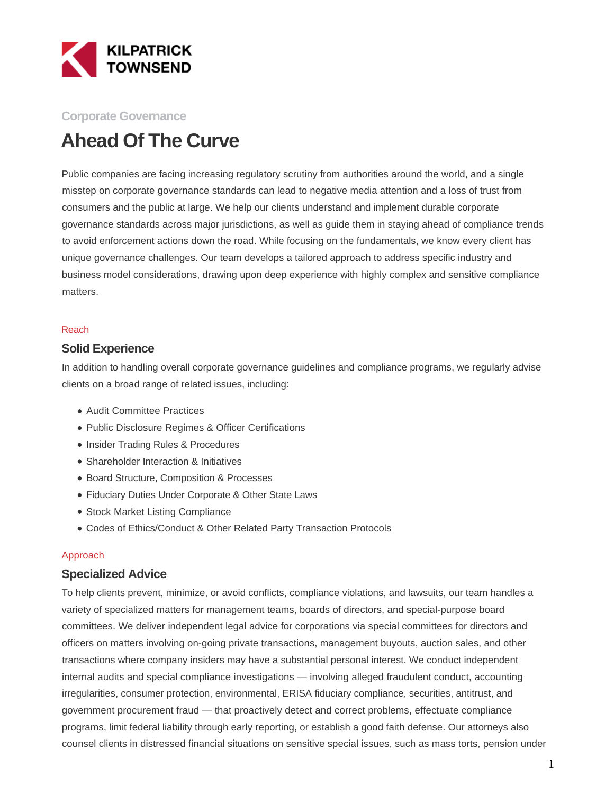

#### **Corporate Governance**

# **Ahead Of The Curve**

Public companies are facing increasing regulatory scrutiny from authorities around the world, and a single misstep on corporate governance standards can lead to negative media attention and a loss of trust from consumers and the public at large. We help our clients understand and implement durable corporate governance standards across major jurisdictions, as well as guide them in staying ahead of compliance trends to avoid enforcement actions down the road. While focusing on the fundamentals, we know every client has unique governance challenges. Our team develops a tailored approach to address specific industry and business model considerations, drawing upon deep experience with highly complex and sensitive compliance matters.

#### Reach

#### **Solid Experience**

In addition to handling overall corporate governance guidelines and compliance programs, we regularly advise clients on a broad range of related issues, including:

- Audit Committee Practices
- Public Disclosure Regimes & Officer Certifications
- Insider Trading Rules & Procedures
- Shareholder Interaction & Initiatives
- Board Structure, Composition & Processes
- Fiduciary Duties Under Corporate & Other State Laws
- Stock Market Listing Compliance
- Codes of Ethics/Conduct & Other Related Party Transaction Protocols

#### Approach

#### **Specialized Advice**

To help clients prevent, minimize, or avoid conflicts, compliance violations, and lawsuits, our team handles a variety of specialized matters for management teams, boards of directors, and special-purpose board committees. We deliver independent legal advice for corporations via special committees for directors and officers on matters involving on-going private transactions, management buyouts, auction sales, and other transactions where company insiders may have a substantial personal interest. We conduct independent internal audits and special compliance investigations — involving alleged fraudulent conduct, accounting irregularities, consumer protection, environmental, ERISA fiduciary compliance, securities, antitrust, and government procurement fraud — that proactively detect and correct problems, effectuate compliance programs, limit federal liability through early reporting, or establish a good faith defense. Our attorneys also counsel clients in distressed financial situations on sensitive special issues, such as mass torts, pension under